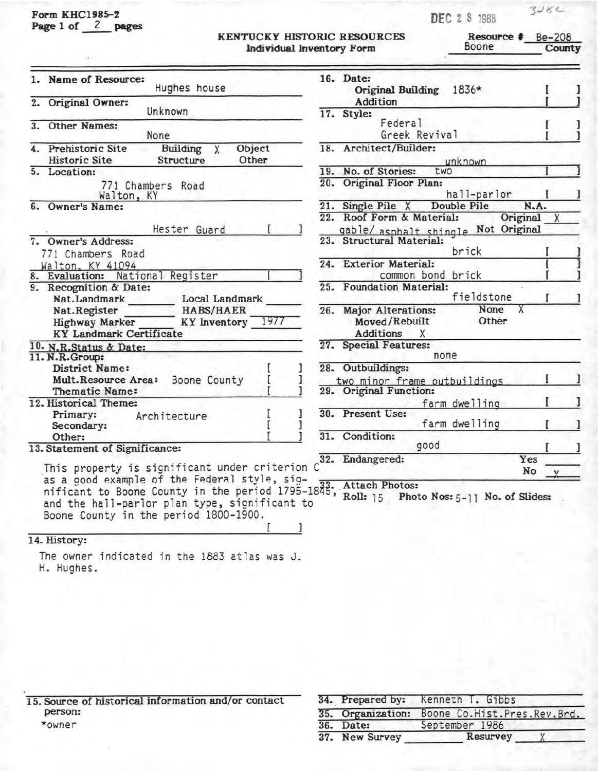**Form KHCl985-2 Page <sup>1</sup> of 2 pages**

#### **KENTUCKY HISTORIC RESOURCES Individual Inventory Form**

DEC 2 8 1988

 $3282$ 

Resource # Boone Be-206 **\_ County**

| 1. Name of Resource:<br>Hughes house                                                                                                                                                               | 16. Date:<br>1836*<br>Original Building                      |
|----------------------------------------------------------------------------------------------------------------------------------------------------------------------------------------------------|--------------------------------------------------------------|
| 2. Original Owner:                                                                                                                                                                                 | Addition                                                     |
| Unknown                                                                                                                                                                                            | 17. Style:                                                   |
| 3. Other Names:<br>None                                                                                                                                                                            | Federal<br>Greek Revival                                     |
| Object<br>Prehistoric Site<br>Building<br>$\chi$<br><b>Historic Site</b><br>Structure<br>Other                                                                                                     | 18. Architect/Builder:<br>unknown                            |
| 5. Location:                                                                                                                                                                                       | 19. No. of Stories:<br>two                                   |
| 771 Chambers Road<br>Walton, KY                                                                                                                                                                    | 20. Original Floor Plan:<br>hall-parlor                      |
| 6. Owner's Name:                                                                                                                                                                                   | 21. Single Pile $X$<br>Double Pile<br>N.A.                   |
|                                                                                                                                                                                                    | 22. Roof Form & Material:<br>Original X                      |
| Hester Guard                                                                                                                                                                                       | gable/ asphalt shingle Not Original 23. Structural Material: |
| 7. Owner's Address:                                                                                                                                                                                |                                                              |
| 771 Chambers Road                                                                                                                                                                                  | brick                                                        |
| Walton, KY 41094                                                                                                                                                                                   | 24. Exterior Material:                                       |
| 8. Evaluation: National Register                                                                                                                                                                   | common bond brick                                            |
| 9. Recognition & Date:<br>Nat.Landmark<br>Local Landmark                                                                                                                                           | 25. Foundation Material:<br>fieldstone                       |
| <b>HABS/HAER</b><br>Nat.Register                                                                                                                                                                   | None<br>26. Major Alterations:<br>X                          |
| 1977<br><b>Highway Marker</b><br>KY Inventory                                                                                                                                                      | Other<br>Moved/Rebuilt                                       |
| <b>KY Landmark Certificate</b>                                                                                                                                                                     | Additions<br>$\mathsf{X}$                                    |
| 10. N.R.Status & Date:                                                                                                                                                                             | 27. Special Features:                                        |
| 11. N.R.Group:                                                                                                                                                                                     | none                                                         |
| <b>District Name:</b>                                                                                                                                                                              | 28. Outbuildings:                                            |
| Mult. Resource Area: Boone County                                                                                                                                                                  | two minor frame outbuildings                                 |
| Thematic Name:                                                                                                                                                                                     | 29. Original Function:                                       |
| 12. Historical Theme:                                                                                                                                                                              | farm dwelling                                                |
| Primary:<br>Architecture                                                                                                                                                                           | 30. Present Use:<br>farm dwelling                            |
| Secondary:                                                                                                                                                                                         | 31. Condition:                                               |
| Other:<br>13. Statement of Significance:                                                                                                                                                           | good                                                         |
|                                                                                                                                                                                                    | 32. Endangered:<br>Yes                                       |
| This property is significant under criterion C                                                                                                                                                     | No                                                           |
| as a good example of the Federal style, sig-                                                                                                                                                       |                                                              |
| as a good example of the rederal state, 1795-1843, Attach Phone County in the period 1795-1843, Roll: 15<br>and the hall-parlor plan type, significant to<br>Boone County in the period 1800-1900. | <b>Attach Photos:</b><br>Photo Nos: 5-11 No. of Slides:      |

14. History;

The owner indicated in the 1883 atlas was J. H. Hughes.

| 15. Source of historical information and/or contact |  |  |
|-----------------------------------------------------|--|--|
| person:                                             |  |  |
| *owner                                              |  |  |

|                | 34. Prepared by: Kenneth T. Gibbs             |
|----------------|-----------------------------------------------|
|                | 35. Organization: Boone Co.Hist.Pres.Rev.Brd. |
| 36. Date:      | September 1986                                |
| 37. New Survey | Resurvey                                      |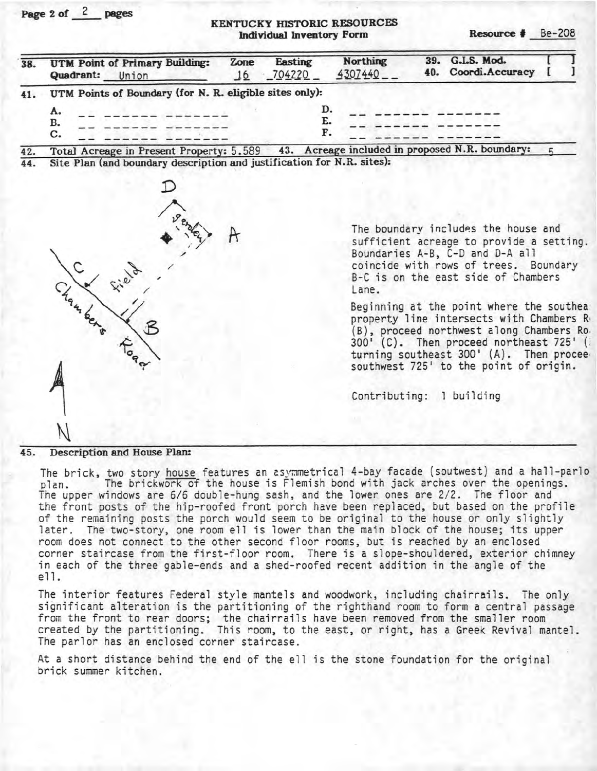### **Page <sup>2</sup> of pages KENTUCKY HISTORIC RESOURCES Individual Inventory Form** Resource # Be-208

| 38. | UTM Point of Primary Building:<br>Quadrant:<br>Union                                 | Zone<br>16 <sup>2</sup> | <b>Easting</b><br>704220 | <b>Northing</b><br>4307440 | 39. G.I.S. Mod.<br>40. Coordi.Accuracy      |  |
|-----|--------------------------------------------------------------------------------------|-------------------------|--------------------------|----------------------------|---------------------------------------------|--|
| 41. | UTM Points of Boundary (for N. R. eligible sites only):<br>А.<br>B.<br>$C_{\bullet}$ |                         | F.                       |                            |                                             |  |
| 42. | Total Acreage in Present Property: 5.589                                             |                         | 43.                      |                            | Acreage included in proposed N.R. boundary: |  |

 $\frac{42}{1}$ 44. Site Plan (and boundary description and justification for N.R. sites):



The boundary includes the house and sufficient acreage to provide <sup>a</sup> setting. Boundaries A-B, C-D and D-A all coincide with rows of trees. Boundary<br>R-C is on the east side of Chambers B-C is on the east side of Chambers Lane.

Beginning at the point where the southea property line intersects with Chambers Ri (B), proceed northwest along Chambers Ro. 300' (C). Then proceed northeast 725' (i turning southeast 300' (A). Then procee' southwest 725' to the point of origin.

Contributing: I building

## 45. Description and House Plan:

The brick, two story house features an asymmetrical 4-bay facade (soutwest) and a hall-parlo<br>plan. The brickwork of the house is Flemish bond with jack arches over the openings. plan. The brickwork of the house is Flemish bond with jack arches over the openings.<br>The upper windows are 6/6 double-bung sash, and the lower ones are 2/2. The floor and The upper windows are 6/6 double-hung sash, and the lower ones are 2/2. The floor and<br>the front posts of the bin-reefed front porch have been replaced, but based on the pro the front posts of the hip-roofed front porch have been replaced, but based on the profile of the remaining posts the porch would seem to be original to the house or only slightly later. The two-story, one room ell is lower than the main block of the house; its upper room does not connect to the other second floor rooms, but is reached by an enclosed corner staircase from the first-floor room. There is <sup>a</sup> slope-shouldered, exterior chimney in each of the three gable-ends and <sup>a</sup> shed-roofed recent addition in the angle of the ell.

The interior features Federal style mantels and woodwork, including chairrails. The only significant alteration is the partitioning of the righthand room to form <sup>a</sup> central passage from the front to rear doors; the chairrails have been removed from the smaller room<br>created by the partitioning. This room, to the east, or right, has a Greek Peyiyal m created by the partitioning. This room, to the east, or right, has a Greek Revival mantel.<br>The parlor has an anclosed corner staircase The parlor has an enclosed corner staircase.

At <sup>a</sup> short distance behind the end of the ell is the stone foundation for the original brick summer kitchen.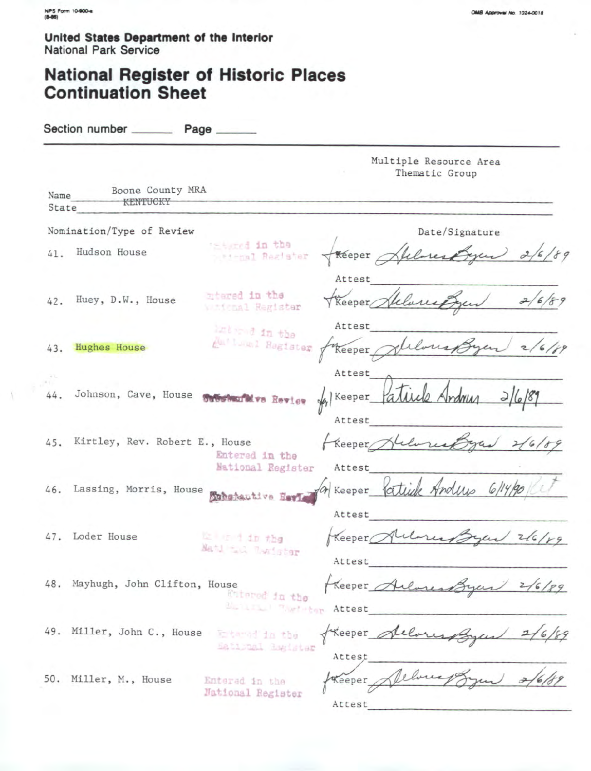NPS Form 10-900-4

OMB Approval No. 1024-0018

United States Department of the Interior<br>National Park Service

## **National Register of Historic Places<br>Continuation Sheet**

Section number \_\_\_\_\_\_\_\_\_\_\_ Page \_\_\_\_\_\_\_

|               |                                              |                                              | Multiple Resource Area<br>Thematic Group  |
|---------------|----------------------------------------------|----------------------------------------------|-------------------------------------------|
| Name<br>State | Boone County MRA<br><b>KENTUCKY</b>          |                                              |                                           |
|               | Nomination/Type of Review                    |                                              | Date/Signature                            |
| 41.           | Hudson House                                 | istered in the<br><b>Sitemal Realsher</b>    | Reeper Stelmes Byen                       |
| 42.           | Huey, D.W., House                            | miared in the<br>waitmal Register            | Attest<br>2/6/89<br>TReeper Allanes Byen  |
|               | 43. Hughes House                             | intered in the<br>Authoriz Register / Keeper | Attest<br>Wous Byen 2/6/19                |
|               |                                              |                                              | Attest                                    |
| 44.           | Johnson, Cave, House                         | Sabsward vs Review                           | for Keeper Patrick Andrew 2/6/89          |
|               |                                              |                                              | Attest                                    |
| 45.           | Kirtley, Rev. Robert E., House               | Entered in the                               | 6/89<br>$H$ Keeper                        |
|               | 46. Lassing, Morris, House Mahatautive Eavis | National Register                            | Attest<br>of Keeper Cettick Andre 6/14/90 |
|               |                                              |                                              | Attest                                    |
|               | 47. Loder House                              | the distinguished<br>Mati tall Tamister      | Keeper<br>26/19                           |
|               |                                              |                                              | Attest                                    |
|               | 48. Mayhugh, John Clifton, House             | Entered in the<br>Building That tap Attest   | FReeper Aulmen Byan 2/6/89                |
|               | 49. Miller, John C., House                   | Entered in the<br>Eatimal Register           | Keeper<br>Attest                          |
|               | 50. Miller, M., House                        | Entered in the<br>National Register          | Keeper                                    |
|               |                                              |                                              | Attest                                    |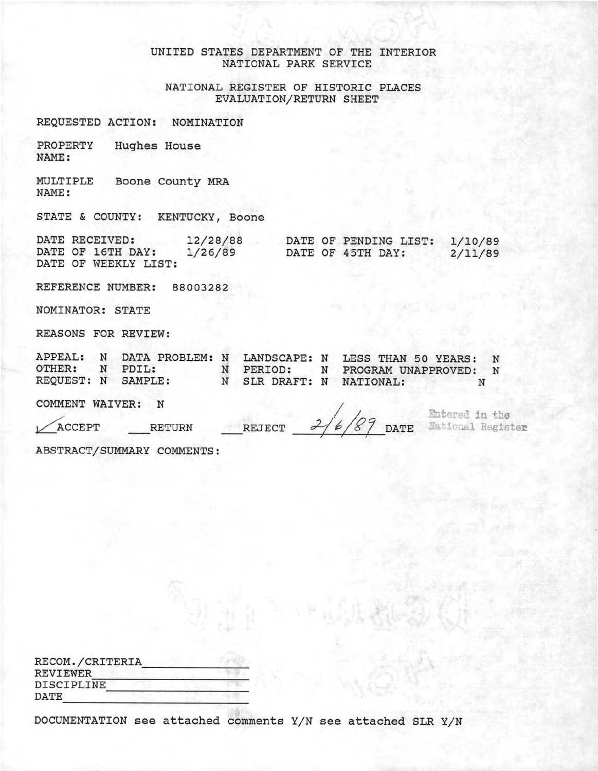#### UNITED STATES DEPARTMENT OF THE INTERIOR NATIONAL PARK SERVICE

NATIONAL REGISTER OF HISTORIC PLACES EVALUATION/RETURN SHEET

REQUESTED ACTION: NOMINATION

PROPERTY Hughes House NAME:

MULTIPLE BOONe COUNTY MRA<br>NAMF: NAME:

STATE & COUNTY: KENTUCKY, Boone

DATE RECEIVED: 12/28/88 DATE OF PENDING LIST: 1/10/89<br>DATE OF 16TH DAY: 1/26/89 DATE OF 45TH DAY: 2/11/89 DATE OF 16TH DAY: 1/26/89<br>DATE OF WEEKIV ITCH. DATE OF WEEKLY LIST: DATE OF PENDING LIST: 1/10/89<br>DATE OF 15TH DAY: 2/11/88 DATE OF 45TH DAY: 2/11/89

REFERENCE NUMBER: 88003282

NOMINATOR: STATE

REASONS FOR REVIEW:

|                |                    |                          | APPEAL: N DATA PROBLEM: N LANDSCAPE: N LESS THAN 50 YEARS: N |   |  |
|----------------|--------------------|--------------------------|--------------------------------------------------------------|---|--|
| OTHER: N PDIL: |                    |                          | N PERIOD: N PROGRAM UNAPPROVED: N                            |   |  |
|                | REOUEST: N SAMPLE: | N SLR DRAFT: N NATIONAL: |                                                              | N |  |

COMMENT WAIVER: N

ACCEPT RETURN

REJECT

Entered in the DATE Mational Regist National Register

*i t*

ABSTRACT/SUMMARY COMMENTS:

| RECOM./CRITERIA   |  |
|-------------------|--|
| <b>REVIEWER</b>   |  |
| <b>DISCIPLINE</b> |  |
| DATE              |  |
|                   |  |

DOCUMENTATION see attached comments Y/N see attached SLR Y/N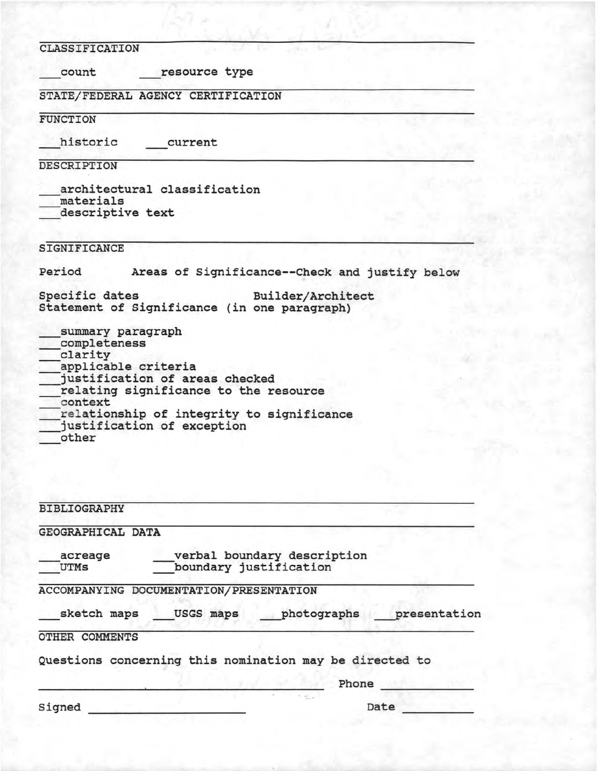#### CLASSIFICATION

count resource type

STATE/FEDERAL AGENCY CERTIFICATION

FUNCTION

historic current

DESCRIPTION

architectural classification materials

'descriptive text

#### SIGNIFICANCE

Period Areas of Significance—Check and justify below

Specific dates Builder/Architect Statement of Significance (in one paragraph)

- summary paragraph
- ^completeness
- clarity
- ^applicable criteria
- justification of areas checked
- relating significance to the resource
- context
- relationship of integrity to significance
- justification of exception
- other

| <b>BIBLIOGRAPHY</b>                                                      |
|--------------------------------------------------------------------------|
| GEOGRAPHICAL DATA                                                        |
| verbal boundary description<br>acreage<br>boundary justification<br>UTMs |
| ACCOMPANYING<br>DOCUMENTATION/PRESENTATION                               |
| sketch maps<br>photographs<br>presentation<br><b>USGS maps</b>           |
| OTHER COMMENTS                                                           |
| Questions concerning this nomination may be directed to                  |
| Phone                                                                    |
| Signed<br>Date                                                           |
|                                                                          |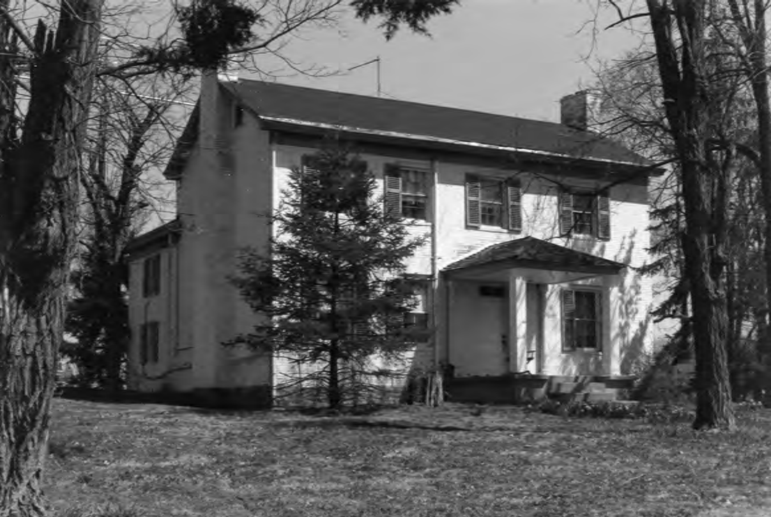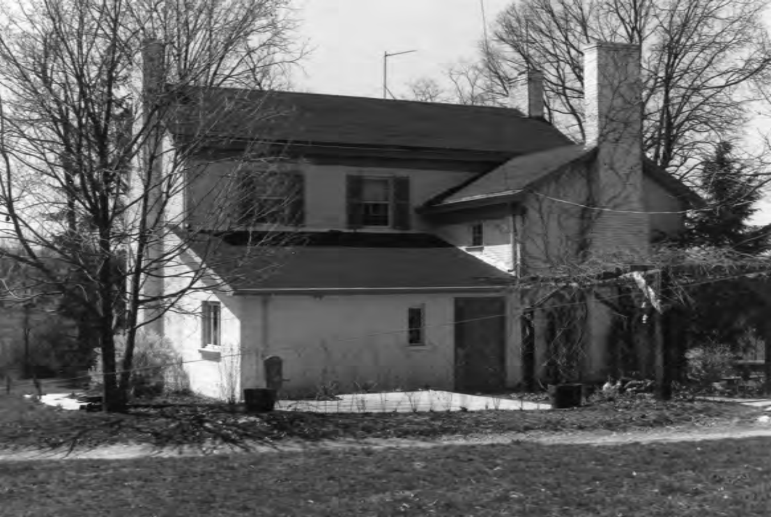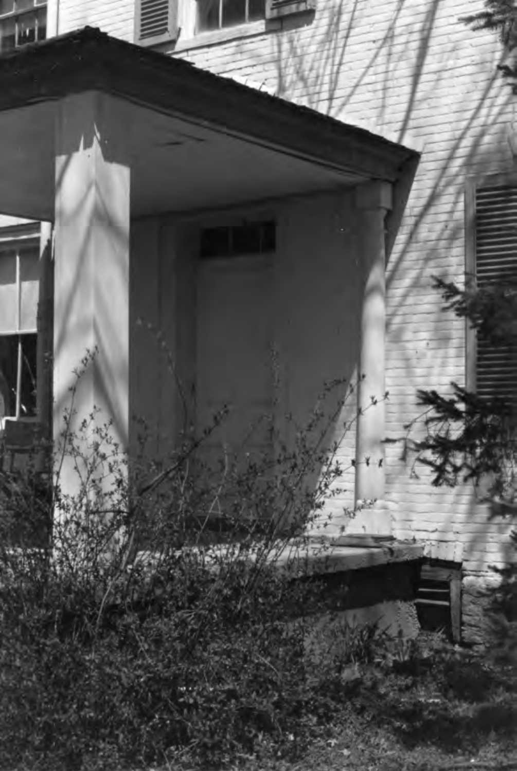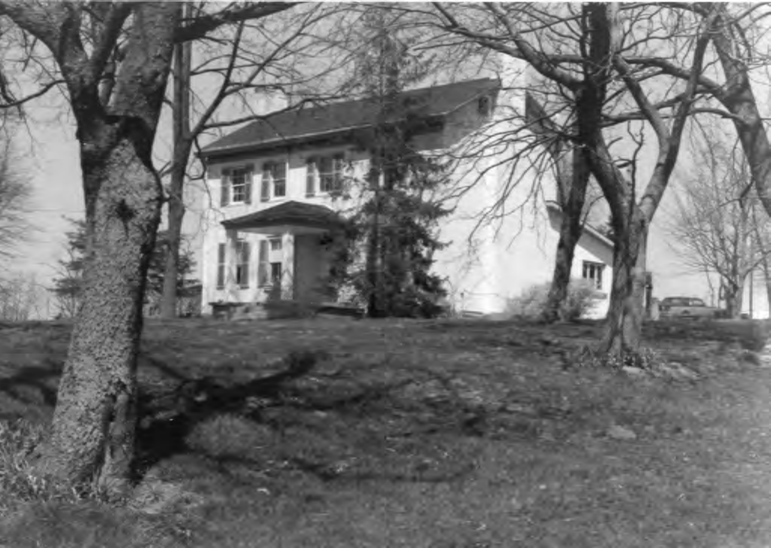